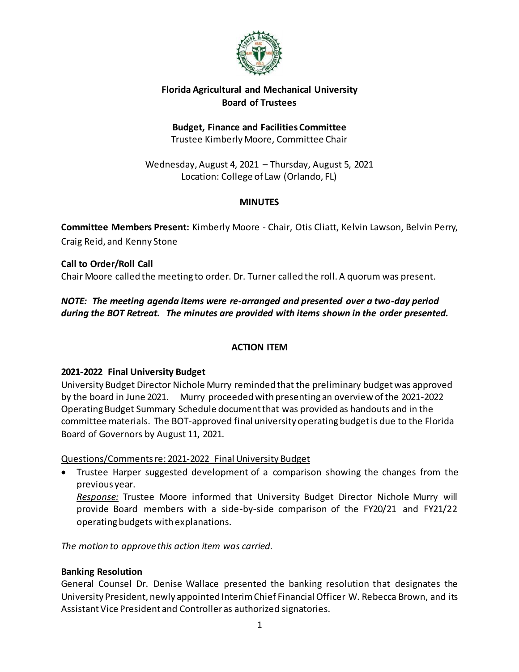

# **Florida Agricultural and Mechanical University Board of Trustees**

#### **Budget, Finance and Facilities Committee** Trustee Kimberly Moore, Committee Chair

Wednesday, August 4, 2021 – Thursday, August 5, 2021 Location: College of Law (Orlando, FL)

### **MINUTES**

**Committee Members Present:** Kimberly Moore - Chair, Otis Cliatt, Kelvin Lawson, Belvin Perry, Craig Reid, and Kenny Stone

**Call to Order/Roll Call** Chair Moore called the meeting to order. Dr. Turner called the roll. A quorum was present.

*NOTE: The meeting agenda items were re-arranged and presented over a two-day period during the BOT Retreat. The minutes are provided with items shown in the order presented.*

# **ACTION ITEM**

# **2021-2022 Final University Budget**

University Budget Director Nichole Murry reminded that the preliminary budgetwas approved by the board in June 2021. Murry proceeded with presenting an overview of the 2021-2022 Operating Budget Summary Schedule document that was provided as handouts and in the committee materials. The BOT-approved final university operating budget is due to the Florida Board of Governors by August 11, 2021.

# Questions/Comments re: 2021-2022 Final University Budget

 Trustee Harper suggested development of a comparison showing the changes from the previous year.

*Response:* Trustee Moore informed that University Budget Director Nichole Murry will provide Board members with a side-by-side comparison of the FY20/21 and FY21/22 operating budgets with explanations.

*The motion to approve this action item was carried.*

# **Banking Resolution**

General Counsel Dr. Denise Wallace presented the banking resolution that designates the University President, newly appointed Interim Chief Financial Officer W. Rebecca Brown, and its Assistant Vice President and Controller as authorized signatories.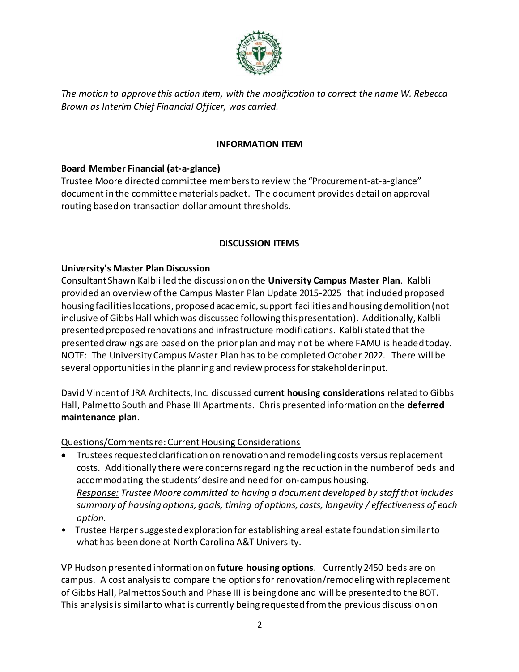

*The motion to approve this action item, with the modification to correct the name W. Rebecca Brown as Interim Chief Financial Officer, was carried.*

#### **INFORMATION ITEM**

### **Board Member Financial (at-a-glance)**

Trustee Moore directed committee members to review the "Procurement-at-a-glance" document in the committee materials packet. The document provides detail on approval routing based on transaction dollar amount thresholds.

### **DISCUSSION ITEMS**

### **University's Master Plan Discussion**

Consultant Shawn Kalbli led the discussion on the **University Campus Master Plan**. Kalbli provided an overview of the Campus Master Plan Update 2015-2025 that included proposed housing facilities locations, proposed academic, support facilities and housing demolition (not inclusive of Gibbs Hall which was discussed following this presentation). Additionally, Kalbli presented proposed renovations and infrastructure modifications. Kalbli stated that the presented drawings are based on the prior plan and may not be where FAMU is headed today. NOTE: The University Campus Master Plan has to be completed October 2022. There will be several opportunities in the planning and review process for stakeholder input.

David Vincent of JRA Architects, Inc. discussed **current housing considerations** related to Gibbs Hall, Palmetto South and Phase III Apartments. Chris presented information on the **deferred maintenance plan**.

#### Questions/Comments re: Current Housing Considerations

- Trustees requested clarification on renovation and remodeling costs versus replacement costs. Additionally there were concerns regarding the reduction in the number of beds and accommodating the students' desire and need for on-campus housing. *Response: Trustee Moore committed to having a document developed by staff that includes summary of housing options, goals, timing of options, costs, longevity / effectiveness of each option.*
- Trustee Harper suggested exploration for establishing a real estate foundation similar to what has been done at North Carolina A&T University.

VP Hudson presented information on **future housing options**. Currently 2450 beds are on campus. A cost analysis to compare the options for renovation/remodeling with replacement of Gibbs Hall, Palmettos South and Phase III is being done and will be presented to the BOT. This analysis is similar to what is currently being requested from the previous discussion on